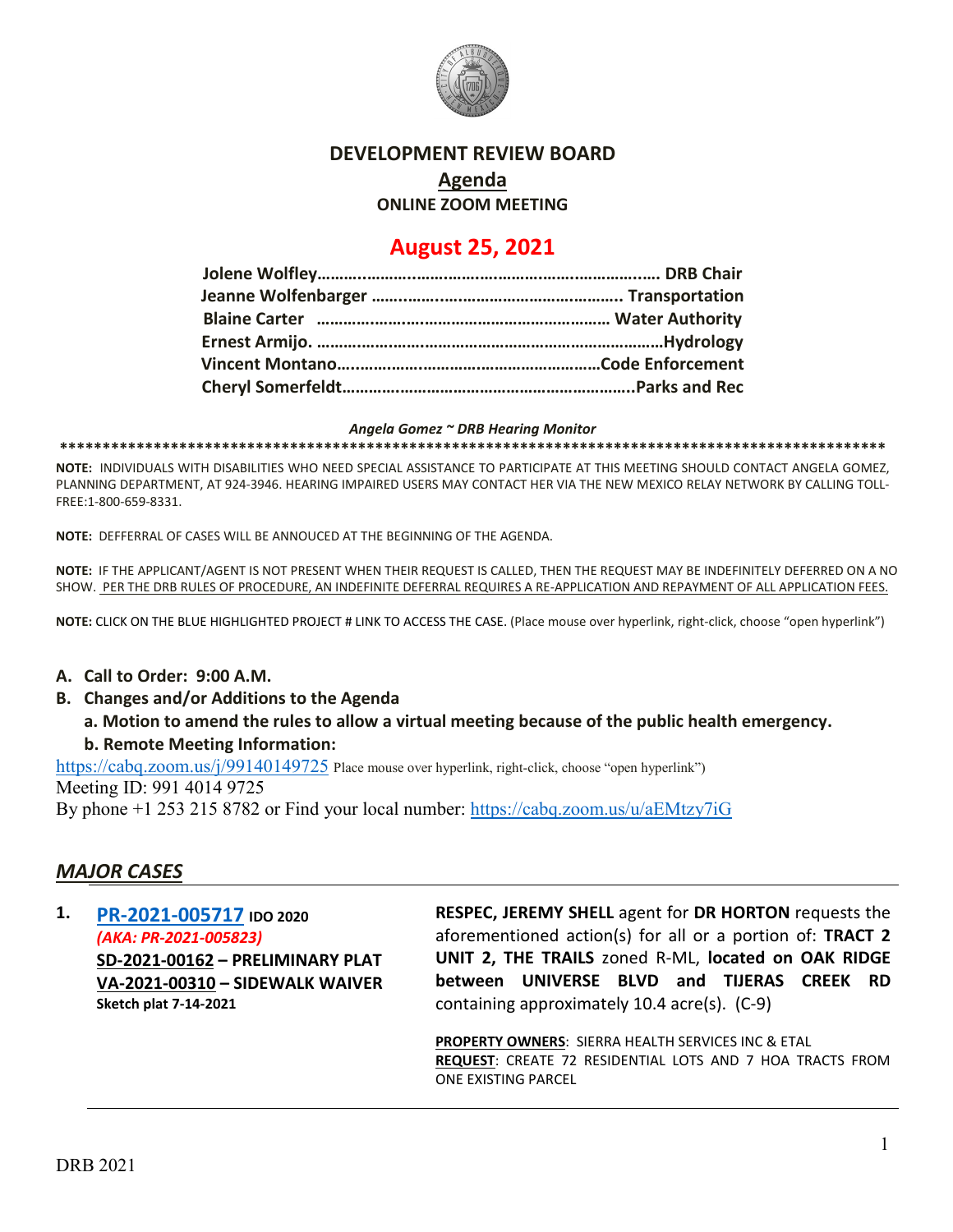

## **DEVELOPMENT REVIEW BOARD**

**Agenda**

**ONLINE ZOOM MEETING**

# **August 25, 2021**

#### *Angela Gomez ~ DRB Hearing Monitor*

**\*\*\*\*\*\*\*\*\*\*\*\*\*\*\*\*\*\*\*\*\*\*\*\*\*\*\*\*\*\*\*\*\*\*\*\*\*\*\*\*\*\*\*\*\*\*\*\*\*\*\*\*\*\*\*\*\*\*\*\*\*\*\*\*\*\*\*\*\*\*\*\*\*\*\*\*\*\*\*\*\*\*\*\*\*\*\*\*\*\*\*\*\*\*\*\*\***

**NOTE:** INDIVIDUALS WITH DISABILITIES WHO NEED SPECIAL ASSISTANCE TO PARTICIPATE AT THIS MEETING SHOULD CONTACT ANGELA GOMEZ, PLANNING DEPARTMENT, AT 924-3946. HEARING IMPAIRED USERS MAY CONTACT HER VIA THE NEW MEXICO RELAY NETWORK BY CALLING TOLL-FREE:1-800-659-8331.

**NOTE:** DEFFERRAL OF CASES WILL BE ANNOUCED AT THE BEGINNING OF THE AGENDA.

**NOTE:** IF THE APPLICANT/AGENT IS NOT PRESENT WHEN THEIR REQUEST IS CALLED, THEN THE REQUEST MAY BE INDEFINITELY DEFERRED ON A NO SHOW. PER THE DRB RULES OF PROCEDURE, AN INDEFINITE DEFERRAL REQUIRES A RE-APPLICATION AND REPAYMENT OF ALL APPLICATION FEES.

**NOTE:** CLICK ON THE BLUE HIGHLIGHTED PROJECT # LINK TO ACCESS THE CASE. (Place mouse over hyperlink, right-click, choose "open hyperlink")

#### **A. Call to Order: 9:00 A.M.**

- **B. Changes and/or Additions to the Agenda**
	- **a. Motion to amend the rules to allow a virtual meeting because of the public health emergency. b. Remote Meeting Information:**

<https://cabq.zoom.us/j/99140149725> Place mouse over hyperlink, right-click, choose "open hyperlink")

Meeting ID: 991 4014 9725

By phone +1 253 215 8782 or Find your local number:<https://cabq.zoom.us/u/aEMtzy7iG>

### *MAJOR CASES*

**1. [PR-2021-005717](http://data.cabq.gov/government/planning/DRB/PR-2021-005717/DRB%20Submittals/PR-2021-005717_Aug_25_2021%20(PP,%20SW)/Application/) IDO 2020** *(AKA: PR-2021-005823)* **SD-2021-00162 – PRELIMINARY PLAT VA-2021-00310 – SIDEWALK WAIVER Sketch plat 7-14-2021**

**RESPEC, JEREMY SHELL** agent for **DR HORTON** requests the aforementioned action(s) for all or a portion of: **TRACT 2 UNIT 2, THE TRAILS** zoned R-ML, **located on OAK RIDGE between UNIVERSE BLVD and TIJERAS CREEK RD** containing approximately 10.4 acre(s). (C-9)

**PROPERTY OWNERS**: SIERRA HEALTH SERVICES INC & ETAL **REQUEST**: CREATE 72 RESIDENTIAL LOTS AND 7 HOA TRACTS FROM ONE EXISTING PARCEL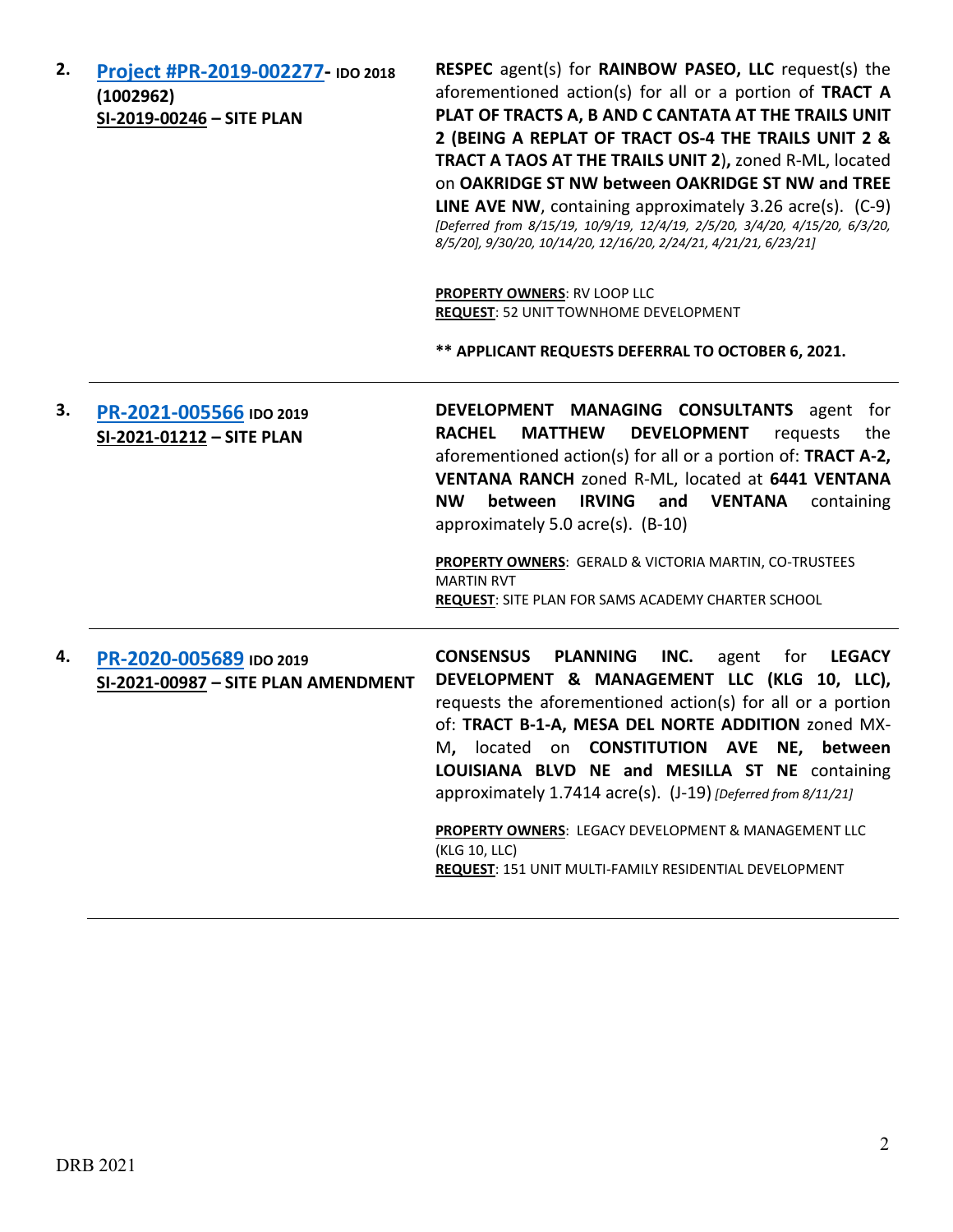| 2. | Project #PR-2019-002277- IDO 2018<br>(1002962)<br>SI-2019-00246 - SITE PLAN | <b>RESPEC</b> agent(s) for <b>RAINBOW PASEO, LLC</b> request(s) the<br>aforementioned action(s) for all or a portion of TRACT A<br>PLAT OF TRACTS A, B AND C CANTATA AT THE TRAILS UNIT<br>2 (BEING A REPLAT OF TRACT OS-4 THE TRAILS UNIT 2 &<br>TRACT A TAOS AT THE TRAILS UNIT 2), zoned R-ML, located<br>on OAKRIDGE ST NW between OAKRIDGE ST NW and TREE<br><b>LINE AVE NW</b> , containing approximately 3.26 $\arccos(5)$ . (C-9)<br>[Deferred from 8/15/19, 10/9/19, 12/4/19, 2/5/20, 3/4/20, 4/15/20, 6/3/20,<br>8/5/20], 9/30/20, 10/14/20, 12/16/20, 2/24/21, 4/21/21, 6/23/21] |
|----|-----------------------------------------------------------------------------|---------------------------------------------------------------------------------------------------------------------------------------------------------------------------------------------------------------------------------------------------------------------------------------------------------------------------------------------------------------------------------------------------------------------------------------------------------------------------------------------------------------------------------------------------------------------------------------------|
|    |                                                                             | <b>PROPERTY OWNERS: RV LOOP LLC</b><br>REQUEST: 52 UNIT TOWNHOME DEVELOPMENT                                                                                                                                                                                                                                                                                                                                                                                                                                                                                                                |
|    |                                                                             | ** APPLICANT REQUESTS DEFERRAL TO OCTOBER 6, 2021.                                                                                                                                                                                                                                                                                                                                                                                                                                                                                                                                          |
| 3. | PR-2021-005566 IDO 2019<br>SI-2021-01212 - SITE PLAN                        | DEVELOPMENT MANAGING CONSULTANTS agent for<br><b>MATTHEW</b><br><b>DEVELOPMENT</b><br><b>RACHEL</b><br>requests<br>the<br>aforementioned action(s) for all or a portion of: TRACT A-2,<br>VENTANA RANCH zoned R-ML, located at 6441 VENTANA<br><b>IRVING</b><br><b>VENTANA</b><br><b>NW</b><br>between<br>and<br>containing<br>approximately 5.0 acre(s). $(B-10)$<br>PROPERTY OWNERS: GERALD & VICTORIA MARTIN, CO-TRUSTEES<br><b>MARTIN RVT</b><br>REQUEST: SITE PLAN FOR SAMS ACADEMY CHARTER SCHOOL                                                                                     |
|    |                                                                             |                                                                                                                                                                                                                                                                                                                                                                                                                                                                                                                                                                                             |
| 4. | PR-2020-005689 IDO 2019<br>SI-2021-00987 - SITE PLAN AMENDMENT              | <b>CONSENSUS</b><br><b>PLANNING</b><br>INC.<br><b>LEGACY</b><br>agent<br>for<br>DEVELOPMENT & MANAGEMENT LLC (KLG 10, LLC),<br>requests the aforementioned action(s) for all or a portion<br>of: TRACT B-1-A, MESA DEL NORTE ADDITION zoned MX-<br>M. located on <b>CONSTITUTION AVE NE. between</b><br>LOUISIANA BLVD NE and MESILLA ST NE containing<br>approximately 1.7414 acre(s). (J-19) [Deferred from 8/11/21]                                                                                                                                                                      |
|    |                                                                             | PROPERTY OWNERS: LEGACY DEVELOPMENT & MANAGEMENT LLC<br>(KLG 10, LLC)<br>REQUEST: 151 UNIT MULTI-FAMILY RESIDENTIAL DEVELOPMENT                                                                                                                                                                                                                                                                                                                                                                                                                                                             |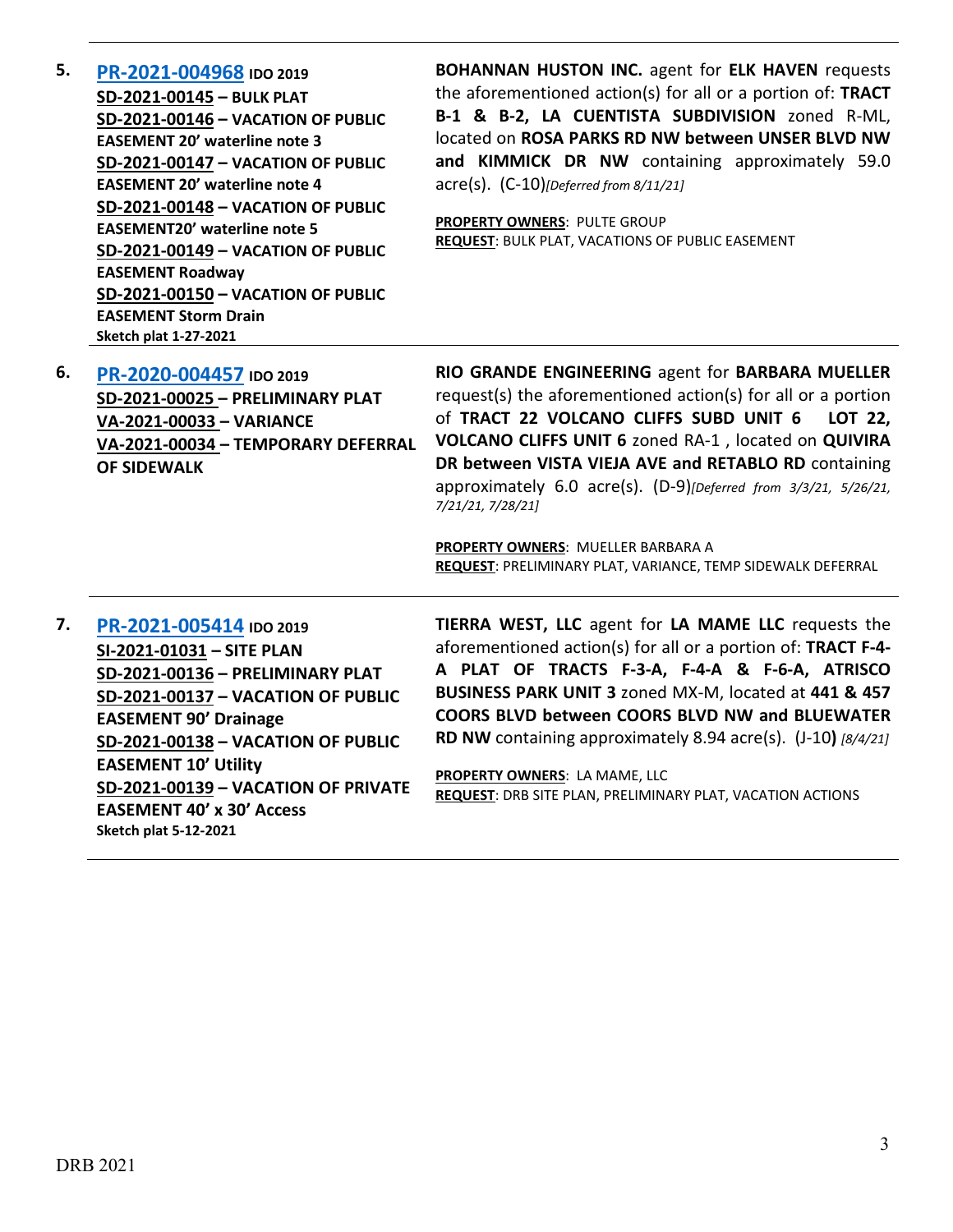| 5. | PR-2021-004968 IDO 2019<br>SD-2021-00145 - BULK PLAT<br>SD-2021-00146 - VACATION OF PUBLIC<br><b>EASEMENT 20' waterline note 3</b><br>SD-2021-00147 - VACATION OF PUBLIC<br><b>EASEMENT 20' waterline note 4</b><br>SD-2021-00148 - VACATION OF PUBLIC<br><b>EASEMENT20' waterline note 5</b><br>SD-2021-00149 - VACATION OF PUBLIC<br><b>EASEMENT Roadway</b><br>SD-2021-00150 - VACATION OF PUBLIC<br><b>EASEMENT Storm Drain</b><br>Sketch plat 1-27-2021 | <b>BOHANNAN HUSTON INC.</b> agent for <b>ELK HAVEN</b> requests<br>the aforementioned action(s) for all or a portion of: TRACT<br>B-1 & B-2, LA CUENTISTA SUBDIVISION zoned R-ML,<br>located on ROSA PARKS RD NW between UNSER BLVD NW<br>and KIMMICK DR NW containing approximately 59.0<br>$\text{acre}(s)$ . $(C-10)$ [Deferred from 8/11/21]<br><b>PROPERTY OWNERS: PULTE GROUP</b><br><b>REQUEST: BULK PLAT, VACATIONS OF PUBLIC EASEMENT</b>                                 |
|----|--------------------------------------------------------------------------------------------------------------------------------------------------------------------------------------------------------------------------------------------------------------------------------------------------------------------------------------------------------------------------------------------------------------------------------------------------------------|------------------------------------------------------------------------------------------------------------------------------------------------------------------------------------------------------------------------------------------------------------------------------------------------------------------------------------------------------------------------------------------------------------------------------------------------------------------------------------|
| 6. | PR-2020-004457 IDO 2019<br>SD-2021-00025 - PRELIMINARY PLAT<br>VA-2021-00033 - VARIANCE<br>VA-2021-00034 - TEMPORARY DEFERRAL<br><b>OF SIDEWALK</b>                                                                                                                                                                                                                                                                                                          | RIO GRANDE ENGINEERING agent for BARBARA MUELLER<br>request(s) the aforementioned action(s) for all or a portion<br>of TRACT 22 VOLCANO CLIFFS SUBD UNIT 6<br>LOT 22,<br>VOLCANO CLIFFS UNIT 6 zoned RA-1, located on QUIVIRA<br>DR between VISTA VIEJA AVE and RETABLO RD containing<br>approximately 6.0 acre(s). (D-9)[Deferred from 3/3/21, 5/26/21,<br>7/21/21, 7/28/21]<br>PROPERTY OWNERS: MUELLER BARBARA A<br>REQUEST: PRELIMINARY PLAT, VARIANCE, TEMP SIDEWALK DEFERRAL |
| 7. | PR-2021-005414 IDO 2019<br>SI-2021-01031 - SITE PLAN<br>SD-2021-00136 - PRELIMINARY PLAT<br>SD-2021-00137 - VACATION OF PUBLIC<br><b>EASEMENT 90' Drainage</b><br>SD-2021-00138 - VACATION OF PUBLIC<br><b>EASEMENT 10' Utility</b><br>SD-2021-00139 - VACATION OF PRIVATE<br><b>EASEMENT 40' x 30' Access</b><br><b>Sketch plat 5-12-2021</b>                                                                                                               | TIERRA WEST, LLC agent for LA MAME LLC requests the<br>aforementioned action(s) for all or a portion of: TRACT F-4-<br>A PLAT OF TRACTS F-3-A, F-4-A & F-6-A, ATRISCO<br>BUSINESS PARK UNIT 3 zoned MX-M, located at 441 & 457<br>COORS BLVD between COORS BLVD NW and BLUEWATER<br>RD NW containing approximately 8.94 acre(s). (J-10) [8/4/21]<br>PROPERTY OWNERS: LA MAME, LLC<br><b>REQUEST: DRB SITE PLAN, PRELIMINARY PLAT, VACATION ACTIONS</b>                             |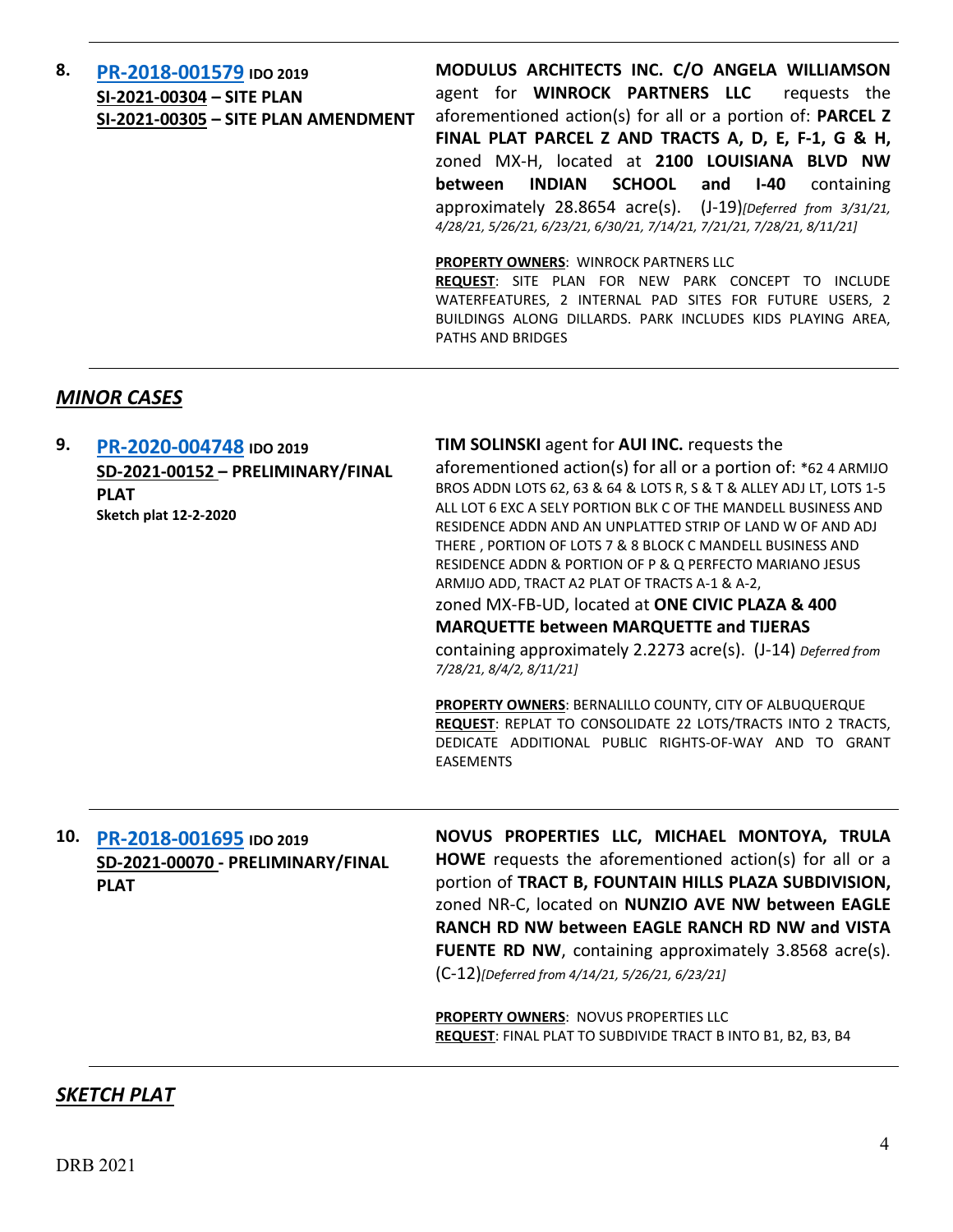| 8. | PR-2018-001579 IDO 2019             | MODULUS ARCHITECTS INC. C/O ANGELA WILLIAMSON                           |
|----|-------------------------------------|-------------------------------------------------------------------------|
|    | SI-2021-00304 - SITE PLAN           | agent for WINROCK PARTNERS LLC<br>requests the                          |
|    | SI-2021-00305 - SITE PLAN AMENDMENT | aforementioned action(s) for all or a portion of: <b>PARCEL Z</b>       |
|    |                                     | FINAL PLAT PARCEL Z AND TRACTS A, D, E, F-1, G & H,                     |
|    |                                     | zoned MX-H, located at 2100 LOUISIANA BLVD NW                           |
|    |                                     | INDIAN SCHOOL and I-40<br>between<br>containing                         |
|    |                                     | approximately $28.8654$ acre(s). $(1-19)$ [Deferred from $3/31/21$ ,    |
|    |                                     | 4/28/21, 5/26/21, 6/23/21, 6/30/21, 7/14/21, 7/21/21, 7/28/21, 8/11/21] |
|    |                                     |                                                                         |
|    |                                     | <b>PROPERTY OWNERS: WINROCK PARTNERS LLC</b>                            |
|    |                                     | <b>REQUEST:</b> SITE PLAN FOR NEW PARK CONCEPT TO INCLUDE               |
|    |                                     | WATERFEATURES, 2 INTERNAL PAD SITES FOR FUTURE USERS, 2                 |
|    |                                     | BUILDINGS ALONG DILLARDS. PARK INCLUDES KIDS PLAYING AREA,              |
|    |                                     | <b>PATHS AND BRIDGES</b>                                                |

# *MINOR CASES*

| 9.  | PR-2020-004748 IDO 2019<br>SD-2021-00152 - PRELIMINARY/FINAL<br><b>PLAT</b><br><b>Sketch plat 12-2-2020</b> | TIM SOLINSKI agent for AUI INC. requests the<br>aforementioned action(s) for all or a portion of: *62 4 ARMIJO<br>BROS ADDN LOTS 62, 63 & 64 & LOTS R, S & T & ALLEY ADJ LT, LOTS 1-5<br>ALL LOT 6 EXC A SELY PORTION BLK C OF THE MANDELL BUSINESS AND<br>RESIDENCE ADDN AND AN UNPLATTED STRIP OF LAND W OF AND ADJ<br>THERE, PORTION OF LOTS 7 & 8 BLOCK C MANDELL BUSINESS AND            |
|-----|-------------------------------------------------------------------------------------------------------------|-----------------------------------------------------------------------------------------------------------------------------------------------------------------------------------------------------------------------------------------------------------------------------------------------------------------------------------------------------------------------------------------------|
|     |                                                                                                             | RESIDENCE ADDN & PORTION OF P & Q PERFECTO MARIANO JESUS<br>ARMIJO ADD, TRACT A2 PLAT OF TRACTS A-1 & A-2,<br>zoned MX-FB-UD, located at ONE CIVIC PLAZA & 400<br><b>MARQUETTE between MARQUETTE and TIJERAS</b><br>containing approximately 2.2273 acre(s). (J-14) Deferred from<br>7/28/21, 8/4/2, 8/11/21]                                                                                 |
|     |                                                                                                             | PROPERTY OWNERS: BERNALILLO COUNTY, CITY OF ALBUQUERQUE<br>REQUEST: REPLAT TO CONSOLIDATE 22 LOTS/TRACTS INTO 2 TRACTS,<br>DEDICATE ADDITIONAL PUBLIC RIGHTS-OF-WAY AND TO GRANT<br><b>EASEMENTS</b>                                                                                                                                                                                          |
| 10. | PR-2018-001695 IDO 2019<br>SD-2021-00070 - PRELIMINARY/FINAL<br><b>PLAT</b>                                 | NOVUS PROPERTIES LLC, MICHAEL MONTOYA, TRULA<br>HOWE requests the aforementioned action(s) for all or a<br>portion of TRACT B, FOUNTAIN HILLS PLAZA SUBDIVISION,<br>zoned NR-C, located on NUNZIO AVE NW between EAGLE<br>RANCH RD NW between EAGLE RANCH RD NW and VISTA<br><b>FUENTE RD NW, containing approximately 3.8568 acre(s).</b><br>(C-12)[Deferred from 4/14/21, 5/26/21, 6/23/21] |
|     |                                                                                                             | PROPERTY OWNERS: NOVUS PROPERTIES LLC<br>REQUEST: FINAL PLAT TO SUBDIVIDE TRACT B INTO B1, B2, B3, B4                                                                                                                                                                                                                                                                                         |

### *SKETCH PLAT*